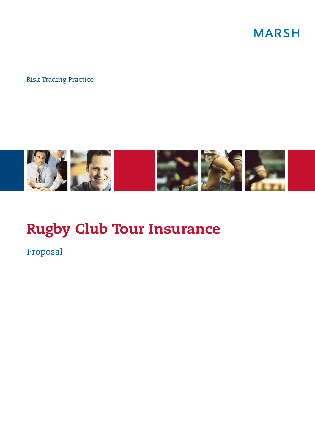**MARSH** 

### Risk Trading Practice



# **Rugby Club Tour Insurance**

Proposal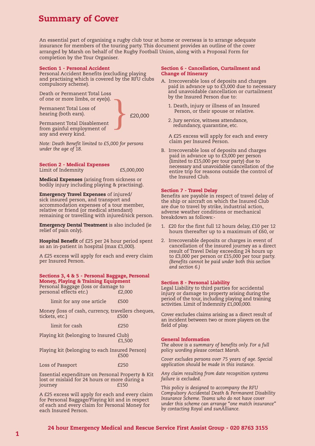### **Summary of Cover**

An essential part of organising a rugby club tour at home or overseas is to arrange adequate insurance for members of the touring party. This document provides an outline of the cover arranged by Marsh on behalf of the Rugby Football Union, along with a Proposal Form for completion by the Tour Organiser.

#### **Section 1 - Personal Accident**

Personal Accident Benefits (excluding playing and practising which is covered by the RFU clubs compulsory scheme).

Death or Permanent Total Loss of one or more limbs, or eye(s).

Permanent Total Loss of hearing (both ears).

} £20,000

Permanent Total Disablement from gainful employment of any and every kind.

*Note: Death Benefit limited to £5,000 for persons under the age of 18.*

#### **Section 2 - Medical Expenses** Limit of Indemnity £5,000,000

**Medical Expenses** (arising from sickness or bodily injury including playing & practising).

**Emergency Travel Expenses** of injured/ sick insured person, and transport and accommodation expenses of a tour member, relative or friend (or medical attendant) remaining or travelling with injured/sick person.

**Emergency Dental Treatment** is also included (ie relief of pain only).

**Hospital Benefit** of £25 per 24 hour period spent as an in-patient in hospital (max £1,000).

A £25 excess will apply for each and every claim per Insured Person.

#### **Sections 3, 4 & 5 - Personal Baggage, Personal Money, Playing & Training Equipment**

|                        |  | Personal Baggage (loss or damage to |  |
|------------------------|--|-------------------------------------|--|
| personal effects etc.) |  | £2,000                              |  |

limit for any one article £500

Money (loss of cash, currency, travellers cheques,<br>tickets, etc.)<br> $f500$ tickets, etc.)

| limit for cash | £250 |
|----------------|------|
|----------------|------|

Playing kit (belonging to Insured Club) £1,500

Playing kit (belonging to each Insured Person) £500

Loss of Passport **E250** 

Essential expenditure on Personal Property & Kit lost or mislaid for 24 hours or more during a journey

A £25 excess will apply for each and every claim for Personal Baggage/Playing kit and in respect of each and every claim for Personal Money for each Insured Person.

#### **Section 6 - Cancellation, Curtailment and Change of Itinerary**

- A. Irrecoverable loss of deposits and charges paid in advance up to £3,000 due to necessary and unavoidable cancellation or curtailment by the Insured Person due to:
	- 1. Death, injury or illness of an Insured Person, or their spouse or relative.
	- 2. Jury service, witness attendance, redundancy, quarantine, etc.

A £25 excess will apply for each and every claim per Insured Person.

B. Irrecoverable loss of deposits and charges paid in advance up to £3,000 per person (limited to £15,000 per tour party) due to necessary and unavoidable cancellation of the entire trip for reasons outside the control of the Insured Club.

#### **Section 7 - Travel Delay**

Benefits are payable in respect of travel delay of the ship or aircraft on which the Insured Club are due to travel by strike, industrial action, adverse weather conditions or mechanical breakdown as follows:-

- 1. £20 for the first full 12 hours delay, £10 per 12 hours thereafter up to a maximum of £60, or
- 2. Irrecoverable deposits or charges in event of cancellation of the insured journey as a direct result of Travel Delay exceeding 24 hours up to £3,000 per person or £15,000 per tour party. *(Benefits cannot be paid under both this section and section 6.)*

#### **Section 8 - Personal Liability**

Legal Liability to third parties for accidental injury or damage to property arising during the period of the tour, including playing and training activities. Limit of Indemnity £1,000,000.

Cover excludes claims arising as a direct result of an incident between two or more players on the field of play.

#### **General Information**

*The above is a summary of benefits only. For a full policy wording please contact Marsh.*

*Cover excludes persons over 75 years of age. Special application should be made in this instance.*

*Any claim resulting from date recognition systems failure is excluded.*

*This policy is designed to accompany the RFU Compulsory Accidental Death & Permanent Disability Insurance Scheme. Teams who do not have cover under this scheme can arrange "one match insurance" by contacting Royal and sunAlliance.*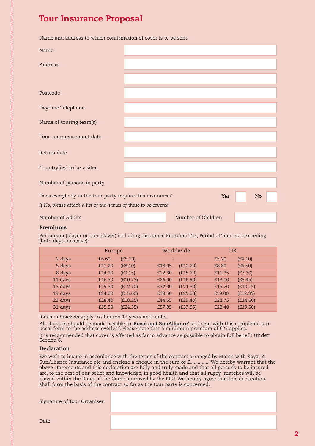### **Tour Insurance Proposal**

Name and address to which confirmation of cover is to be sent

| Name                                                            |  |                    |            |  |    |  |
|-----------------------------------------------------------------|--|--------------------|------------|--|----|--|
| Address                                                         |  |                    |            |  |    |  |
|                                                                 |  |                    |            |  |    |  |
| Postcode                                                        |  |                    |            |  |    |  |
| Daytime Telephone                                               |  |                    |            |  |    |  |
| Name of touring team(s)                                         |  |                    |            |  |    |  |
| Tour commencement date                                          |  |                    |            |  |    |  |
| Return date                                                     |  |                    |            |  |    |  |
| Country(ies) to be visited                                      |  |                    |            |  |    |  |
| Number of persons in party                                      |  |                    |            |  |    |  |
| Does everybody in the tour party require this insurance?        |  |                    | <b>Yes</b> |  | No |  |
| If No, please attach a list of the names of those to be covered |  |                    |            |  |    |  |
| Number of Adults                                                |  | Number of Children |            |  |    |  |

#### **Premiums**

Per person (player or non-player) including Insurance Premium Tax, Period of Tour not exceeding (both days inclusive):

|         | Europe |                    | Worldwide | UK     |          |
|---------|--------|--------------------|-----------|--------|----------|
| 2 days  | £6.60  | (E5.10)            |           | £5.20  | (E4.10)  |
| 5 days  | £11.20 | (E8.10)<br>£18.05  | (E12.20)  | £8.80  | (E6.50)  |
| 8 days  | £14.20 | (E9.15)<br>£22.30  | (E15.20)  | £11.35 | (E7.30)  |
| 11 days | £16.50 | (E10.73)<br>£26.00 | (E16.90)  | £13.00 | (E8.45)  |
| 15 days | £19.30 | (E12.70)<br>£32.00 | (E21.30)  | £15.20 | (E10.15) |
| 19 days | £24.00 | (E15.60)<br>£38.50 | (E25.03)  | £19.00 | (E12.35) |
| 23 days | £28.40 | (E18.25)<br>£44.65 | (E29.40)  | £22.75 | (E14.60) |
| 31 days | £35.50 | (E24.35)<br>£57.85 | (E37.55)  | £28.40 | (E19.50) |

Rates in brackets apply to children 17 years and under.

All cheques should be made payable to '**Royal and SunAlliance**' and sent with this completed proposal form to the address overleaf. Please note that a minimum premium of £25 applies.

It is recommended that cover is effected as far in advance as possible to obtain full benefit under Section 6.

#### **Declaration**

We wish to insure in accordance with the terms of the contract arranged by Marsh with Royal & SunAlliance Insurance plc and enclose a cheque in the sum of £............... We hereby warrant that the above statements and this declaration are fully and truly made and that all persons to be insured are, to the best of our belief and knowledge, in good health and that all rugby matches will be played within the Rules of the Game approved by the RFU. We hereby agree that this declaration shall form the basis of the contract so far as the tour party is concerned.

Signature of Tour Organiser